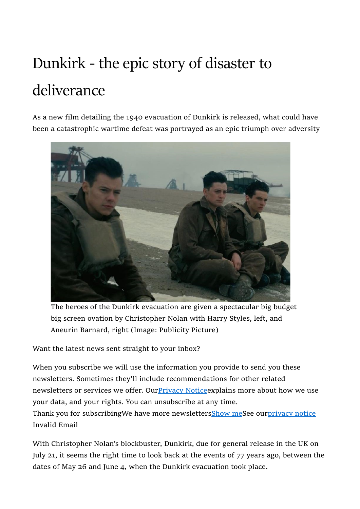# Dunkirk - the epic story of disaster to deliverance

As a new film detailing the 1940 evacuation of Dunkirk is released, what could have been a catastrophic wartime defeat was portrayed as an epic triumph over adversity



The heroes of the Dunkirk evacuation are given a spectacular big budget big screen ovation by Christopher Nolan with Harry Styles, left, and Aneurin Barnard, right (Image: Publicity Picture)

Want the latest news sent straight to your inbox?

When you subscribe we will use the information you provide to send you these newsletters. Sometimes they'll include recommendations for other related newsletters or services we offer. Our Privacy Notice explains more about how we use your data, and your rights. You can unsubscribe at any time. Thank you for subscribingWe have more newsletters**Show meSee ourprivacy notice** 

Invalid Email

With Christopher Nolan's blockbuster, Dunkirk, due for general release in the UK on July 21, it seems the right time to look back at the events of 77 years ago, between the dates of May 26 and June 4, when the Dunkirk evacuation took place.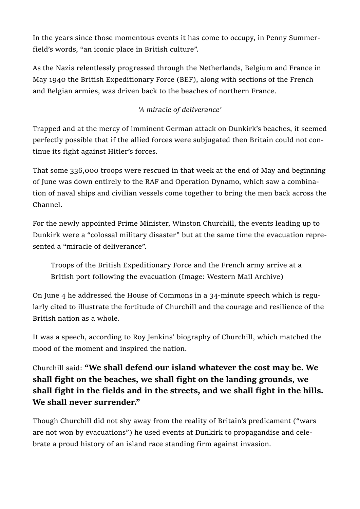In the years since those momentous events it has come to occupy, in Penny Summerfield's words, "an iconic place in British culture".

As the Nazis relentlessly progressed through the Netherlands, Belgium and France in May 1940 the British Expeditionary Force (BEF), along with sections of the French and Belgian armies, was driven back to the beaches of northern France.

## 'A miracle of deliverance'

Trapped and at the mercy of imminent German attack on Dunkirk's beaches, it seemed perfectly possible that if the allied forces were subjugated then Britain could not continue its fight against Hitler's forces.

That some 336,000 troops were rescued in that week at the end of May and beginning of June was down entirely to the RAF and Operation Dynamo, which saw a combination of naval ships and civilian vessels come together to bring the men back across the Channel.

For the newly appointed Prime Minister, Winston Churchill, the events leading up to Dunkirk were a "colossal military disaster" but at the same time the evacuation represented a "miracle of deliverance".

Troops of the British Expeditionary Force and the French army arrive at a British port following the evacuation (Image: Western Mail Archive)

On June 4 he addressed the House of Commons in a 34-minute speech which is regularly cited to illustrate the fortitude of Churchill and the courage and resilience of the British nation as a whole.

It was a speech, according to Roy Jenkins' biography of Churchill, which matched the mood of the moment and inspired the nation.

Churchill said: "We shall defend our island whatever the cost may be. We shall fight on the beaches, we shall fight on the landing grounds, we shall fight in the fields and in the streets, and we shall fight in the hills. We shall never surrender."

Though Churchill did not shy away from the reality of Britain's predicament ("wars are not won by evacuations") he used events at Dunkirk to propagandise and celebrate a proud history of an island race standing firm against invasion.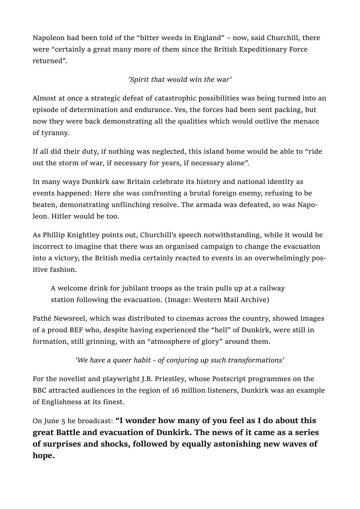Napoleon had been told of the "bitter weeds in England" – now, said Churchill, there were "certainly a great many more of them since the British Expeditionary Force returned".

#### 'Spirit that would win the war'

Almost at once a strategic defeat of catastrophic possibilities was being turned into an episode of determination and endurance. Yes, the forces had been sent packing, but now they were back demonstrating all the qualities which would outlive the menace of tyranny.

If all did their duty, if nothing was neglected, this island home would be able to "ride out the storm of war, if necessary for years, if necessary alone".

In many ways Dunkirk saw Britain celebrate its history and national identity as events happened: Here she was confronting a brutal foreign enemy, refusing to be beaten, demonstrating unflinching resolve. The armada was defeated, so was Napoleon. Hitler would be too.

As Phillip Knightley points out, Churchill's speech notwithstanding, while it would be incorrect to imagine that there was an organised campaign to change the evacuation into a victory, the British media certainly reacted to events in an overwhelmingly positive fashion.

A welcome drink for jubilant troops as the train pulls up at a railway station following the evacuation. (Image: Western Mail Archive)

Pathé Newsreel, which was distributed to cinemas across the country, showed images of a proud BEF who, despite having experienced the "hell" of Dunkirk, were still in formation, still grinning, with an "atmosphere of glory" around them.

'We have a queer habit - of conjuring up such transformations'

For the novelist and playwright J.B. Priestley, whose Postscript programmes on the BBC attracted audiences in the region of 16 million listeners, Dunkirk was an example of Englishness at its finest.

On June 5 he broadcast: "I wonder how many of you feel as I do about this great Battle and evacuation of Dunkirk. The news of it came as a series of surprises and shocks, followed by equally astonishing new waves of hope.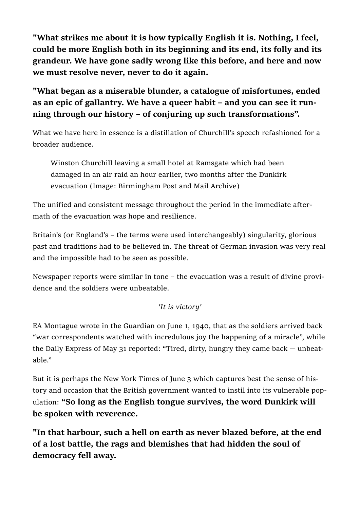"What strikes me about it is how typically English it is. Nothing, I feel, could be more English both in its beginning and its end, its folly and its grandeur. We have gone sadly wrong like this before, and here and now we must resolve never, never to do it again.

"What began as a miserable blunder, a catalogue of misfortunes, ended as an epic of gallantry. We have a queer habit – and you can see it running through our history – of conjuring up such transformations".

What we have here in essence is a distillation of Churchill's speech refashioned for a broader audience.

Winston Churchill leaving a small hotel at Ramsgate which had been damaged in an air raid an hour earlier, two months after the Dunkirk evacuation (Image: Birmingham Post and Mail Archive)

The unified and consistent message throughout the period in the immediate aftermath of the evacuation was hope and resilience.

Britain's (or England's – the terms were used interchangeably) singularity, glorious past and traditions had to be believed in. The threat of German invasion was very real and the impossible had to be seen as possible.

Newspaper reports were similar in tone – the evacuation was a result of divine providence and the soldiers were unbeatable.

## 'It is victory'

EA Montague wrote in the Guardian on June 1, 1940, that as the soldiers arrived back "war correspondents watched with incredulous joy the happening of a miracle", while the Daily Express of May 31 reported: "Tired, dirty, hungry they came back — unbeatable."

But it is perhaps the New York Times of June 3 which captures best the sense of history and occasion that the British government wanted to instil into its vulnerable population: "So long as the English tongue survives, the word Dunkirk will be spoken with reverence.

"In that harbour, such a hell on earth as never blazed before, at the end of a lost battle, the rags and blemishes that had hidden the soul of democracy fell away.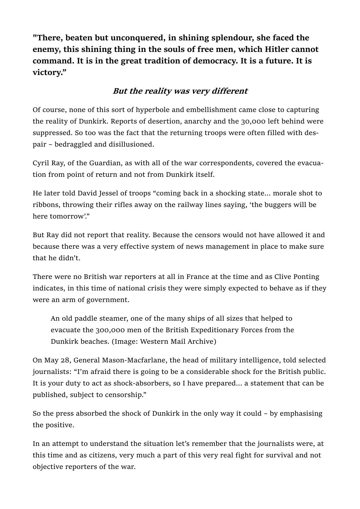"There, beaten but unconquered, in shining splendour, she faced the enemy, this shining thing in the souls of free men, which Hitler cannot command. It is in the great tradition of democracy. It is a future. It is victory."

# But the reality was very different

Of course, none of this sort of hyperbole and embellishment came close to capturing the reality of Dunkirk. Reports of desertion, anarchy and the 30,000 left behind were suppressed. So too was the fact that the returning troops were often filled with despair – bedraggled and disillusioned.

Cyril Ray, of the Guardian, as with all of the war correspondents, covered the evacuation from point of return and not from Dunkirk itself.

He later told David Jessel of troops "coming back in a shocking state... morale shot to ribbons, throwing their rifles away on the railway lines saying, 'the buggers will be here tomorrow'."

But Ray did not report that reality. Because the censors would not have allowed it and because there was a very effective system of news management in place to make sure that he didn't.

There were no British war reporters at all in France at the time and as Clive Ponting indicates, in this time of national crisis they were simply expected to behave as if they were an arm of government.

An old paddle steamer, one of the many ships of all sizes that helped to evacuate the 300,000 men of the British Expeditionary Forces from the Dunkirk beaches. (Image: Western Mail Archive)

On May 28, General Mason-Macfarlane, the head of military intelligence, told selected journalists: "I'm afraid there is going to be a considerable shock for the British public. It is your duty to act as shock-absorbers, so I have prepared... a statement that can be published, subject to censorship."

So the press absorbed the shock of Dunkirk in the only way it could – by emphasising the positive.

In an attempt to understand the situation let's remember that the journalists were, at this time and as citizens, very much a part of this very real fight for survival and not objective reporters of the war.